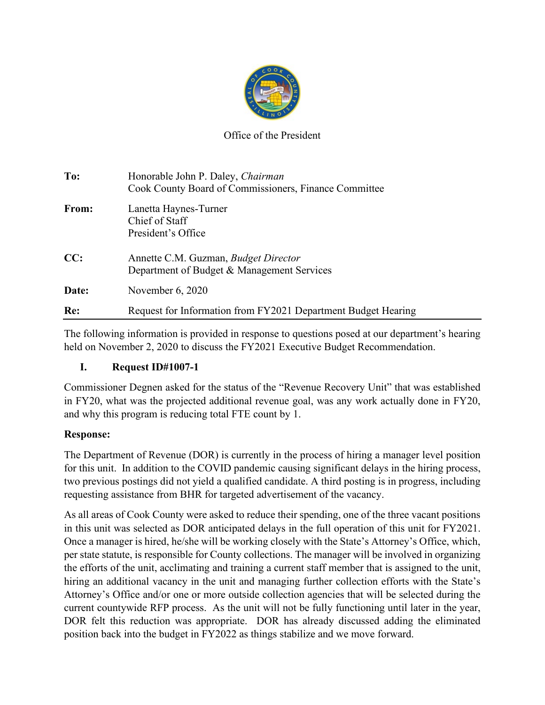

### Office of the President

| To:   | Honorable John P. Daley, Chairman<br>Cook County Board of Commissioners, Finance Committee |
|-------|--------------------------------------------------------------------------------------------|
| From: | Lanetta Haynes-Turner<br>Chief of Staff<br>President's Office                              |
| CC:   | Annette C.M. Guzman, Budget Director<br>Department of Budget & Management Services         |
| Date: | November $6, 2020$                                                                         |
| Re:   | Request for Information from FY2021 Department Budget Hearing                              |

The following information is provided in response to questions posed at our department's hearing held on November 2, 2020 to discuss the FY2021 Executive Budget Recommendation.

### **I. Request ID#1007-1**

Commissioner Degnen asked for the status of the "Revenue Recovery Unit" that was established in FY20, what was the projected additional revenue goal, was any work actually done in FY20, and why this program is reducing total FTE count by 1.

### **Response:**

The Department of Revenue (DOR) is currently in the process of hiring a manager level position for this unit. In addition to the COVID pandemic causing significant delays in the hiring process, two previous postings did not yield a qualified candidate. A third posting is in progress, including requesting assistance from BHR for targeted advertisement of the vacancy.

As all areas of Cook County were asked to reduce their spending, one of the three vacant positions in this unit was selected as DOR anticipated delays in the full operation of this unit for FY2021. Once a manager is hired, he/she will be working closely with the State's Attorney's Office, which, per state statute, is responsible for County collections. The manager will be involved in organizing the efforts of the unit, acclimating and training a current staff member that is assigned to the unit, hiring an additional vacancy in the unit and managing further collection efforts with the State's Attorney's Office and/or one or more outside collection agencies that will be selected during the current countywide RFP process. As the unit will not be fully functioning until later in the year, DOR felt this reduction was appropriate. DOR has already discussed adding the eliminated position back into the budget in FY2022 as things stabilize and we move forward.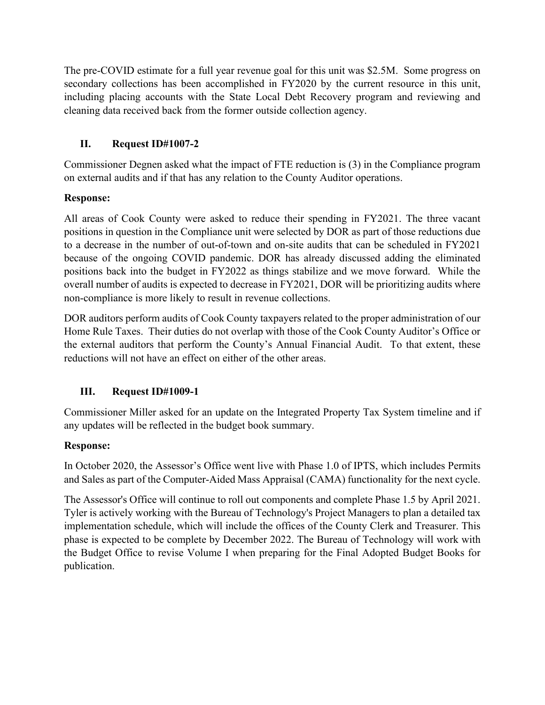The pre-COVID estimate for a full year revenue goal for this unit was \$2.5M. Some progress on secondary collections has been accomplished in FY2020 by the current resource in this unit, including placing accounts with the State Local Debt Recovery program and reviewing and cleaning data received back from the former outside collection agency.

### **II. Request ID#1007-2**

Commissioner Degnen asked what the impact of FTE reduction is (3) in the Compliance program on external audits and if that has any relation to the County Auditor operations.

## **Response:**

All areas of Cook County were asked to reduce their spending in FY2021. The three vacant positions in question in the Compliance unit were selected by DOR as part of those reductions due to a decrease in the number of out-of-town and on-site audits that can be scheduled in FY2021 because of the ongoing COVID pandemic. DOR has already discussed adding the eliminated positions back into the budget in FY2022 as things stabilize and we move forward. While the overall number of audits is expected to decrease in FY2021, DOR will be prioritizing audits where non-compliance is more likely to result in revenue collections.

DOR auditors perform audits of Cook County taxpayers related to the proper administration of our Home Rule Taxes. Their duties do not overlap with those of the Cook County Auditor's Office or the external auditors that perform the County's Annual Financial Audit. To that extent, these reductions will not have an effect on either of the other areas.

# **III. Request ID#1009-1**

Commissioner Miller asked for an update on the Integrated Property Tax System timeline and if any updates will be reflected in the budget book summary.

### **Response:**

In October 2020, the Assessor's Office went live with Phase 1.0 of IPTS, which includes Permits and Sales as part of the Computer-Aided Mass Appraisal (CAMA) functionality for the next cycle.

The Assessor's Office will continue to roll out components and complete Phase 1.5 by April 2021. Tyler is actively working with the Bureau of Technology's Project Managers to plan a detailed tax implementation schedule, which will include the offices of the County Clerk and Treasurer. This phase is expected to be complete by December 2022. The Bureau of Technology will work with the Budget Office to revise Volume I when preparing for the Final Adopted Budget Books for publication.